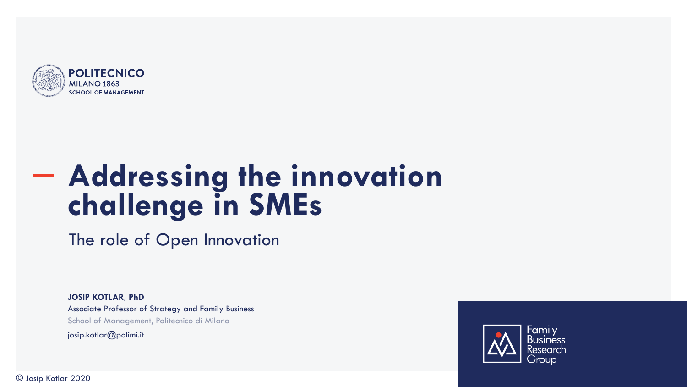

# **Addressing the innovation challenge in SMEs**

The role of Open Innovation

**JOSIP KOTLAR, PhD** Associate Professor of Strategy and Family Business School of Management, Politecnico di Milano josip.kotlar@polimi.it



© Josip Kotlar 2020 1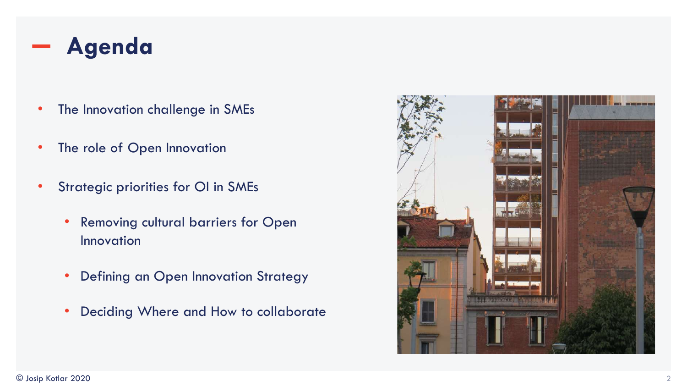

- The Innovation challenge in SMEs
- The role of Open Innovation
- Strategic priorities for OI in SMEs
	- Removing cultural barriers for Open Innovation
	- Defining an Open Innovation Strategy
	- Deciding Where and How to collaborate

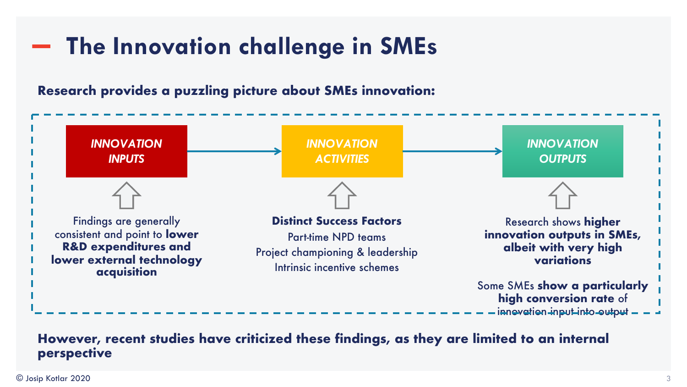# **The Innovation challenge in SMEs**

**Research provides a puzzling picture about SMEs innovation:**



#### **However, recent studies have criticized these findings, as they are limited to an internal perspective**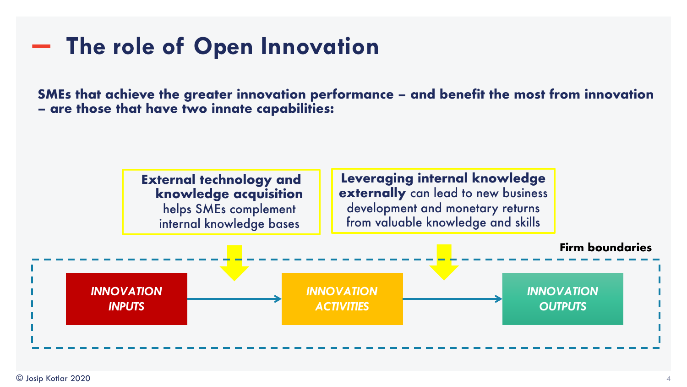# **The role of Open Innovation**

**SMEs that achieve the greater innovation performance – and benefit the most from innovation – are those that have two innate capabilities:** 

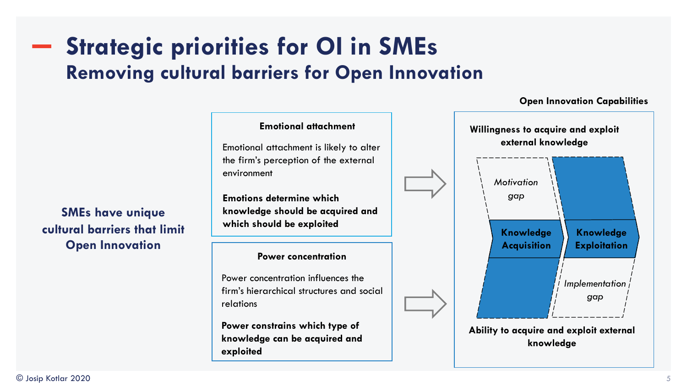### **Strategic priorities for OI in SMEs Removing cultural barriers for Open Innovation**

**SMEs have unique cultural barriers that limit Open Innovation**

#### **Emotional attachment**

Emotional attachment is likely to alter the firm's perception of the external environment

**Emotions determine which knowledge should be acquired and which should be exploited** 

#### **Power concentration**

Power concentration influences the firm's hierarchical structures and social relations

**Power constrains which type of knowledge can be acquired and exploited** 



#### **Open Innovation Capabilities**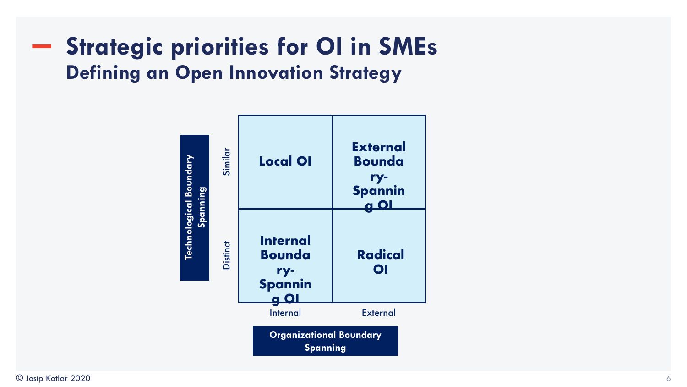### **Strategic priorities for OI in SMEs Defining an Open Innovation Strategy**

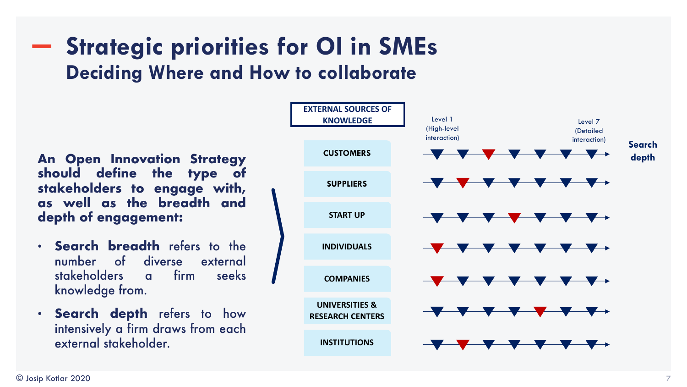## **Strategic priorities for OI in SMEs Deciding Where and How to collaborate**

**An Open Innovation Strategy should define the type of stakeholders to engage with, as well as the breadth and depth of engagement:**

- **Search breadth** refers to the number of diverse external stakeholders a firm seeks knowledge from.
- **Search depth** refers to how intensively a firm draws from each external stakeholder.

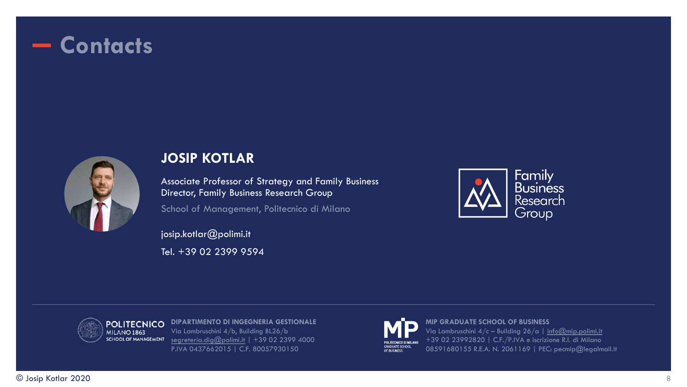### **Contacts**



#### **JOSIP KOTLAR**

Associate Professor of Strategy and Family Business Director, Family Business Research Group

School of Management, Politecnico di Milano

josip.kotlar@polimi.it Tel. +39 02 2399 9594





**DIPARTIMENTO DI INGEGNERIA GESTIONALE** Via Lambruschini 4/b, Building BL26/b [segreteria.dig@polimi.it](mailto:segreteria.dig@polimi.it) | +39 02 2399 4000 P.IVA 0437662015 | C.F. 80057930150



**MIP GRADUATE SCHOOL OF BUSINESS** Via Lambruschini  $4/c$  – Building  $26/a$  | [info@mip.polimi.it](mailto:info@mip.polimi.it) +39 02 23992820 | C.F./P.IVA e iscrizione R.I. di Milano 08591680155 R.E.A. N. 2061169 | PEC: pecmip@legalmail.it